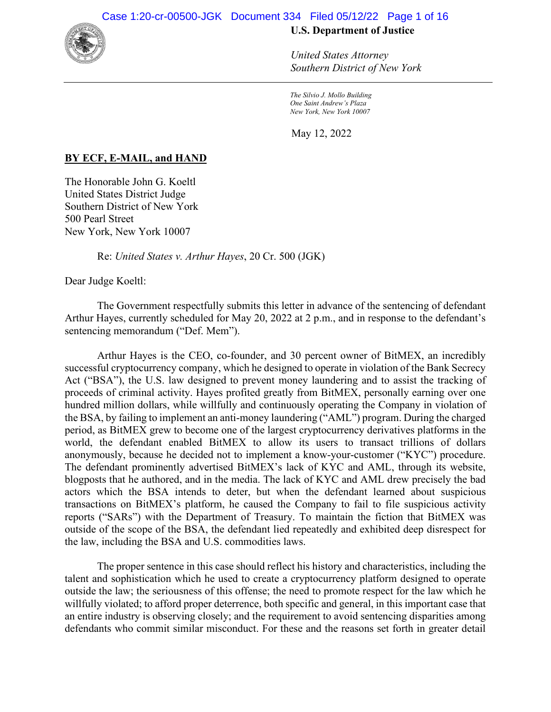

*United States Attorney Southern District of New York*

*The Silvio J. Mollo Building One Saint Andrew's Plaza New York, New York 10007*

May 12, 2022

# **BY ECF, E-MAIL, and HAND**

The Honorable John G. Koeltl United States District Judge Southern District of New York 500 Pearl Street New York, New York 10007

Re: *United States v. Arthur Hayes*, 20 Cr. 500 (JGK)

Dear Judge Koeltl:

 The Government respectfully submits this letter in advance of the sentencing of defendant Arthur Hayes, currently scheduled for May 20, 2022 at 2 p.m., and in response to the defendant's sentencing memorandum ("Def. Mem").

Arthur Hayes is the CEO, co-founder, and 30 percent owner of BitMEX, an incredibly successful cryptocurrency company, which he designed to operate in violation of the Bank Secrecy Act ("BSA"), the U.S. law designed to prevent money laundering and to assist the tracking of proceeds of criminal activity. Hayes profited greatly from BitMEX, personally earning over one hundred million dollars, while willfully and continuously operating the Company in violation of the BSA, by failing to implement an anti-money laundering ("AML") program. During the charged period, as BitMEX grew to become one of the largest cryptocurrency derivatives platforms in the world, the defendant enabled BitMEX to allow its users to transact trillions of dollars anonymously, because he decided not to implement a know-your-customer ("KYC") procedure. The defendant prominently advertised BitMEX's lack of KYC and AML, through its website, blogposts that he authored, and in the media. The lack of KYC and AML drew precisely the bad actors which the BSA intends to deter, but when the defendant learned about suspicious transactions on BitMEX's platform, he caused the Company to fail to file suspicious activity reports ("SARs") with the Department of Treasury. To maintain the fiction that BitMEX was outside of the scope of the BSA, the defendant lied repeatedly and exhibited deep disrespect for the law, including the BSA and U.S. commodities laws.

The proper sentence in this case should reflect his history and characteristics, including the talent and sophistication which he used to create a cryptocurrency platform designed to operate outside the law; the seriousness of this offense; the need to promote respect for the law which he willfully violated; to afford proper deterrence, both specific and general, in this important case that an entire industry is observing closely; and the requirement to avoid sentencing disparities among defendants who commit similar misconduct. For these and the reasons set forth in greater detail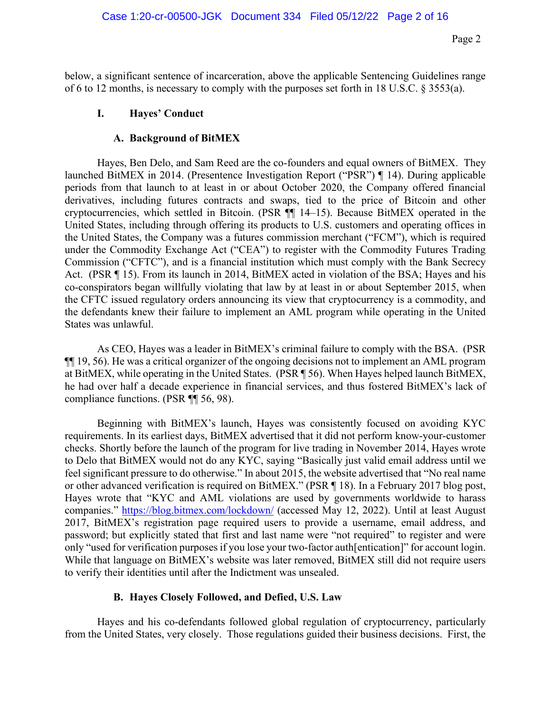below, a significant sentence of incarceration, above the applicable Sentencing Guidelines range of 6 to 12 months, is necessary to comply with the purposes set forth in 18 U.S.C. § 3553(a).

#### **I. Hayes' Conduct**

# **A. Background of BitMEX**

Hayes, Ben Delo, and Sam Reed are the co-founders and equal owners of BitMEX. They launched BitMEX in 2014. (Presentence Investigation Report ("PSR") ¶ 14). During applicable periods from that launch to at least in or about October 2020, the Company offered financial derivatives, including futures contracts and swaps, tied to the price of Bitcoin and other cryptocurrencies, which settled in Bitcoin. (PSR ¶¶ 14–15). Because BitMEX operated in the United States, including through offering its products to U.S. customers and operating offices in the United States, the Company was a futures commission merchant ("FCM"), which is required under the Commodity Exchange Act ("CEA") to register with the Commodity Futures Trading Commission ("CFTC"), and is a financial institution which must comply with the Bank Secrecy Act. (PSR ¶ 15). From its launch in 2014, BitMEX acted in violation of the BSA; Hayes and his co-conspirators began willfully violating that law by at least in or about September 2015, when the CFTC issued regulatory orders announcing its view that cryptocurrency is a commodity, and the defendants knew their failure to implement an AML program while operating in the United States was unlawful.

As CEO, Hayes was a leader in BitMEX's criminal failure to comply with the BSA. (PSR ¶¶ 19, 56). He was a critical organizer of the ongoing decisions not to implement an AML program at BitMEX, while operating in the United States. (PSR ¶ 56). When Hayes helped launch BitMEX, he had over half a decade experience in financial services, and thus fostered BitMEX's lack of compliance functions. (PSR ¶¶ 56, 98).

Beginning with BitMEX's launch, Hayes was consistently focused on avoiding KYC requirements. In its earliest days, BitMEX advertised that it did not perform know-your-customer checks. Shortly before the launch of the program for live trading in November 2014, Hayes wrote to Delo that BitMEX would not do any KYC, saying "Basically just valid email address until we feel significant pressure to do otherwise." In about 2015, the website advertised that "No real name or other advanced verification is required on BitMEX." (PSR ¶ 18). In a February 2017 blog post, Hayes wrote that "KYC and AML violations are used by governments worldwide to harass companies."<https://blog.bitmex.com/lockdown/> (accessed May 12, 2022). Until at least August 2017, BitMEX's registration page required users to provide a username, email address, and password; but explicitly stated that first and last name were "not required" to register and were only "used for verification purposes if you lose your two-factor auth[entication]" for account login. While that language on BitMEX's website was later removed, BitMEX still did not require users to verify their identities until after the Indictment was unsealed.

# **B. Hayes Closely Followed, and Defied, U.S. Law**

Hayes and his co-defendants followed global regulation of cryptocurrency, particularly from the United States, very closely. Those regulations guided their business decisions. First, the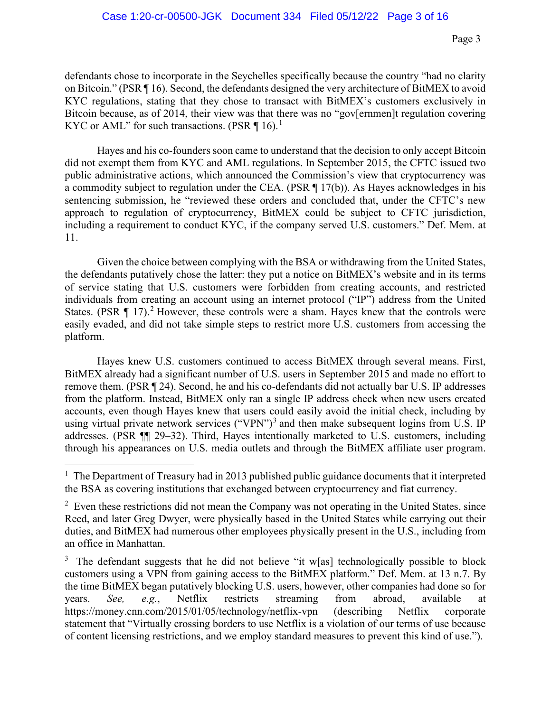defendants chose to incorporate in the Seychelles specifically because the country "had no clarity on Bitcoin." (PSR ¶ 16). Second, the defendants designed the very architecture of BitMEX to avoid KYC regulations, stating that they chose to transact with BitMEX's customers exclusively in Bitcoin because, as of 2014, their view was that there was no "gov[ernmen]t regulation covering KYC or AML" for such transactions. (PSR  $\P$  [1](#page-2-0)6).<sup>1</sup>

Hayes and his co-founders soon came to understand that the decision to only accept Bitcoin did not exempt them from KYC and AML regulations. In September 2015, the CFTC issued two public administrative actions, which announced the Commission's view that cryptocurrency was a commodity subject to regulation under the CEA. (PSR ¶ 17(b)). As Hayes acknowledges in his sentencing submission, he "reviewed these orders and concluded that, under the CFTC's new approach to regulation of cryptocurrency, BitMEX could be subject to CFTC jurisdiction, including a requirement to conduct KYC, if the company served U.S. customers." Def. Mem. at 11.

Given the choice between complying with the BSA or withdrawing from the United States, the defendants putatively chose the latter: they put a notice on BitMEX's website and in its terms of service stating that U.S. customers were forbidden from creating accounts, and restricted individuals from creating an account using an internet protocol ("IP") address from the United States. (PSR  $\P$  17).<sup>[2](#page-2-1)</sup> However, these controls were a sham. Hayes knew that the controls were easily evaded, and did not take simple steps to restrict more U.S. customers from accessing the platform.

Hayes knew U.S. customers continued to access BitMEX through several means. First, BitMEX already had a significant number of U.S. users in September 2015 and made no effort to remove them. (PSR ¶ 24). Second, he and his co-defendants did not actually bar U.S. IP addresses from the platform. Instead, BitMEX only ran a single IP address check when new users created accounts, even though Hayes knew that users could easily avoid the initial check, including by using virtual private network services ("VPN")<sup>[3](#page-2-2)</sup> and then make subsequent logins from U.S. IP addresses. (PSR ¶¶ 29–32). Third, Hayes intentionally marketed to U.S. customers, including through his appearances on U.S. media outlets and through the BitMEX affiliate user program.

<span id="page-2-0"></span><sup>&</sup>lt;sup>1</sup> The Department of Treasury had in 2013 published public guidance documents that it interpreted the BSA as covering institutions that exchanged between cryptocurrency and fiat currency.

<span id="page-2-1"></span> $2$  Even these restrictions did not mean the Company was not operating in the United States, since Reed, and later Greg Dwyer, were physically based in the United States while carrying out their duties, and BitMEX had numerous other employees physically present in the U.S., including from an office in Manhattan.

<span id="page-2-2"></span><sup>&</sup>lt;sup>3</sup> The defendant suggests that he did not believe "it w[as] technologically possible to block customers using a VPN from gaining access to the BitMEX platform." Def. Mem. at 13 n.7. By the time BitMEX began putatively blocking U.S. users, however, other companies had done so for years. *See, e.g.*, Netflix restricts streaming from abroad, available at https://money.cnn.com/2015/01/05/technology/netflix-vpn (describing Netflix corporate statement that "Virtually crossing borders to use Netflix is a violation of our terms of use because of content licensing restrictions, and we employ standard measures to prevent this kind of use.").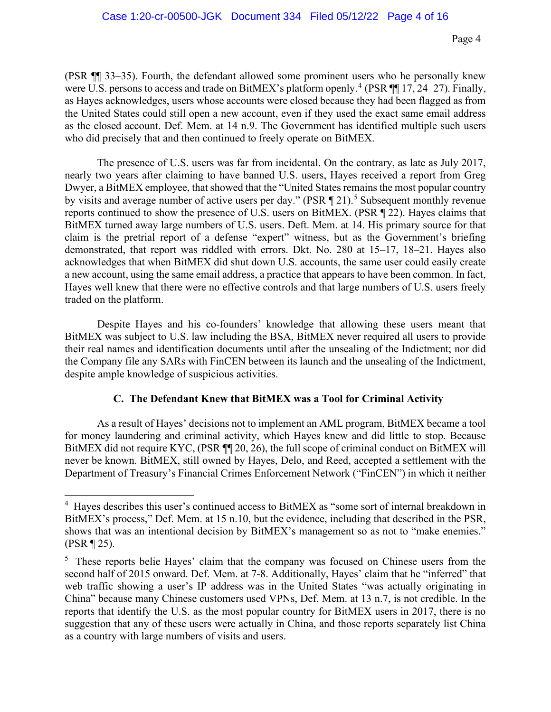(PSR ¶¶ 33–35). Fourth, the defendant allowed some prominent users who he personally knew were U.S. persons to access and trade on BitMEX's platform openly.<sup>[4](#page-3-0)</sup> (PSR  $\P$  17, 24–27). Finally, as Hayes acknowledges, users whose accounts were closed because they had been flagged as from the United States could still open a new account, even if they used the exact same email address as the closed account. Def. Mem. at 14 n.9. The Government has identified multiple such users who did precisely that and then continued to freely operate on BitMEX.

The presence of U.S. users was far from incidental. On the contrary, as late as July 2017, nearly two years after claiming to have banned U.S. users, Hayes received a report from Greg Dwyer, a BitMEX employee, that showed that the "United States remains the most popular country by visits and average number of active users per day." (PSR  $\P$  21).<sup>[5](#page-3-1)</sup> Subsequent monthly revenue reports continued to show the presence of U.S. users on BitMEX. (PSR ¶ 22). Hayes claims that BitMEX turned away large numbers of U.S. users. Deft. Mem. at 14. His primary source for that claim is the pretrial report of a defense "expert" witness, but as the Government's briefing demonstrated, that report was riddled with errors. Dkt. No. 280 at 15–17, 18–21. Hayes also acknowledges that when BitMEX did shut down U.S. accounts, the same user could easily create a new account, using the same email address, a practice that appears to have been common. In fact, Hayes well knew that there were no effective controls and that large numbers of U.S. users freely traded on the platform.

Despite Hayes and his co-founders' knowledge that allowing these users meant that BitMEX was subject to U.S. law including the BSA, BitMEX never required all users to provide their real names and identification documents until after the unsealing of the Indictment; nor did the Company file any SARs with FinCEN between its launch and the unsealing of the Indictment, despite ample knowledge of suspicious activities.

# **C. The Defendant Knew that BitMEX was a Tool for Criminal Activity**

As a result of Hayes' decisions not to implement an AML program, BitMEX became a tool for money laundering and criminal activity, which Hayes knew and did little to stop. Because BitMEX did not require KYC, (PSR  $\P$  20, 26), the full scope of criminal conduct on BitMEX will never be known. BitMEX, still owned by Hayes, Delo, and Reed, accepted a settlement with the Department of Treasury's Financial Crimes Enforcement Network ("FinCEN") in which it neither

<span id="page-3-0"></span><sup>&</sup>lt;sup>4</sup> Hayes describes this user's continued access to BitMEX as "some sort of internal breakdown in BitMEX's process," Def. Mem. at 15 n.10, but the evidence, including that described in the PSR, shows that was an intentional decision by BitMEX's management so as not to "make enemies." (PSR ¶ 25).

<span id="page-3-1"></span><sup>&</sup>lt;sup>5</sup> These reports belie Hayes' claim that the company was focused on Chinese users from the second half of 2015 onward. Def. Mem. at 7-8. Additionally, Hayes' claim that he "inferred" that web traffic showing a user's IP address was in the United States "was actually originating in China" because many Chinese customers used VPNs, Def. Mem. at 13 n.7, is not credible. In the reports that identify the U.S. as the most popular country for BitMEX users in 2017, there is no suggestion that any of these users were actually in China, and those reports separately list China as a country with large numbers of visits and users.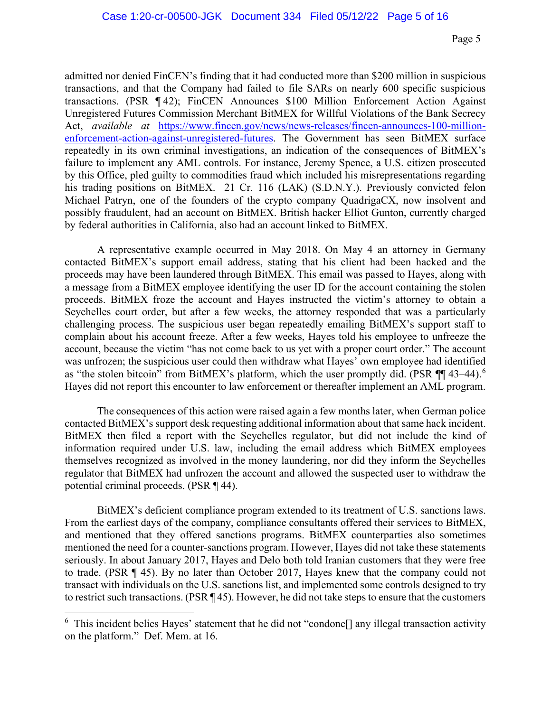admitted nor denied FinCEN's finding that it had conducted more than \$200 million in suspicious transactions, and that the Company had failed to file SARs on nearly 600 specific suspicious transactions. (PSR ¶ 42); FinCEN Announces \$100 Million Enforcement Action Against Unregistered Futures Commission Merchant BitMEX for Willful Violations of the Bank Secrecy Act, *available at* [https://www.fincen.gov/news/news-releases/fincen-announces-100-million](https://www.fincen.gov/news/news-releases/fincen-announces-100-million-enforcement-action-against-unregistered-futures)[enforcement-action-against-unregistered-futures.](https://www.fincen.gov/news/news-releases/fincen-announces-100-million-enforcement-action-against-unregistered-futures) The Government has seen BitMEX surface repeatedly in its own criminal investigations, an indication of the consequences of BitMEX's failure to implement any AML controls. For instance, Jeremy Spence, a U.S. citizen prosecuted by this Office, pled guilty to commodities fraud which included his misrepresentations regarding his trading positions on BitMEX. 21 Cr. 116 (LAK) (S.D.N.Y.). Previously convicted felon Michael Patryn, one of the founders of the crypto company QuadrigaCX, now insolvent and possibly fraudulent, had an account on BitMEX. British hacker Elliot Gunton, currently charged by federal authorities in California, also had an account linked to BitMEX.

A representative example occurred in May 2018. On May 4 an attorney in Germany contacted BitMEX's support email address, stating that his client had been hacked and the proceeds may have been laundered through BitMEX. This email was passed to Hayes, along with a message from a BitMEX employee identifying the user ID for the account containing the stolen proceeds. BitMEX froze the account and Hayes instructed the victim's attorney to obtain a Seychelles court order, but after a few weeks, the attorney responded that was a particularly challenging process. The suspicious user began repeatedly emailing BitMEX's support staff to complain about his account freeze. After a few weeks, Hayes told his employee to unfreeze the account, because the victim "has not come back to us yet with a proper court order." The account was unfrozen; the suspicious user could then withdraw what Hayes' own employee had identified as "the stolen bitcoin" from BitMEX's platform, which the user promptly did. (PSR ¶ 43–44).<sup>[6](#page-4-0)</sup> Hayes did not report this encounter to law enforcement or thereafter implement an AML program.

The consequences of this action were raised again a few months later, when German police contacted BitMEX's support desk requesting additional information about that same hack incident. BitMEX then filed a report with the Seychelles regulator, but did not include the kind of information required under U.S. law, including the email address which BitMEX employees themselves recognized as involved in the money laundering, nor did they inform the Seychelles regulator that BitMEX had unfrozen the account and allowed the suspected user to withdraw the potential criminal proceeds. (PSR ¶ 44).

BitMEX's deficient compliance program extended to its treatment of U.S. sanctions laws. From the earliest days of the company, compliance consultants offered their services to BitMEX, and mentioned that they offered sanctions programs. BitMEX counterparties also sometimes mentioned the need for a counter-sanctions program. However, Hayes did not take these statements seriously. In about January 2017, Hayes and Delo both told Iranian customers that they were free to trade. (PSR ¶ 45). By no later than October 2017, Hayes knew that the company could not transact with individuals on the U.S. sanctions list, and implemented some controls designed to try to restrict such transactions. (PSR ¶ 45). However, he did not take steps to ensure that the customers

<span id="page-4-0"></span><sup>&</sup>lt;sup>6</sup> This incident belies Hayes' statement that he did not "condone<sup>[]</sup> any illegal transaction activity on the platform." Def. Mem. at 16.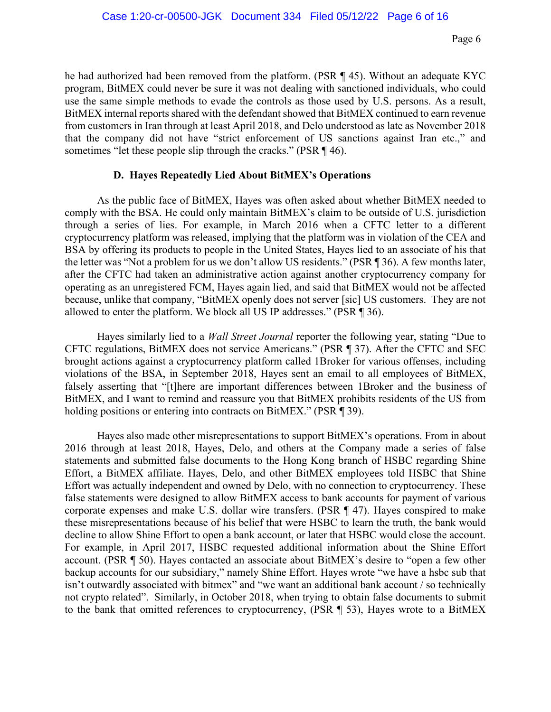he had authorized had been removed from the platform. (PSR ¶ 45). Without an adequate KYC program, BitMEX could never be sure it was not dealing with sanctioned individuals, who could use the same simple methods to evade the controls as those used by U.S. persons. As a result, BitMEX internal reports shared with the defendant showed that BitMEX continued to earn revenue from customers in Iran through at least April 2018, and Delo understood as late as November 2018 that the company did not have "strict enforcement of US sanctions against Iran etc.," and sometimes "let these people slip through the cracks." (PSR ¶ 46).

# **D. Hayes Repeatedly Lied About BitMEX's Operations**

As the public face of BitMEX, Hayes was often asked about whether BitMEX needed to comply with the BSA. He could only maintain BitMEX's claim to be outside of U.S. jurisdiction through a series of lies. For example, in March 2016 when a CFTC letter to a different cryptocurrency platform was released, implying that the platform was in violation of the CEA and BSA by offering its products to people in the United States, Hayes lied to an associate of his that the letter was "Not a problem for us we don't allow US residents." (PSR ¶ 36). A few months later, after the CFTC had taken an administrative action against another cryptocurrency company for operating as an unregistered FCM, Hayes again lied, and said that BitMEX would not be affected because, unlike that company, "BitMEX openly does not server [sic] US customers. They are not allowed to enter the platform. We block all US IP addresses." (PSR ¶ 36).

Hayes similarly lied to a *Wall Street Journal* reporter the following year, stating "Due to CFTC regulations, BitMEX does not service Americans." (PSR ¶ 37). After the CFTC and SEC brought actions against a cryptocurrency platform called 1Broker for various offenses, including violations of the BSA, in September 2018, Hayes sent an email to all employees of BitMEX, falsely asserting that "[t]here are important differences between 1Broker and the business of BitMEX, and I want to remind and reassure you that BitMEX prohibits residents of the US from holding positions or entering into contracts on BitMEX." (PSR ¶ 39).

Hayes also made other misrepresentations to support BitMEX's operations. From in about 2016 through at least 2018, Hayes, Delo, and others at the Company made a series of false statements and submitted false documents to the Hong Kong branch of HSBC regarding Shine Effort, a BitMEX affiliate. Hayes, Delo, and other BitMEX employees told HSBC that Shine Effort was actually independent and owned by Delo, with no connection to cryptocurrency. These false statements were designed to allow BitMEX access to bank accounts for payment of various corporate expenses and make U.S. dollar wire transfers. (PSR ¶ 47). Hayes conspired to make these misrepresentations because of his belief that were HSBC to learn the truth, the bank would decline to allow Shine Effort to open a bank account, or later that HSBC would close the account. For example, in April 2017, HSBC requested additional information about the Shine Effort account. (PSR ¶ 50). Hayes contacted an associate about BitMEX's desire to "open a few other backup accounts for our subsidiary," namely Shine Effort. Hayes wrote "we have a hsbc sub that isn't outwardly associated with bitmex" and "we want an additional bank account / so technically not crypto related". Similarly, in October 2018, when trying to obtain false documents to submit to the bank that omitted references to cryptocurrency, (PSR ¶ 53), Hayes wrote to a BitMEX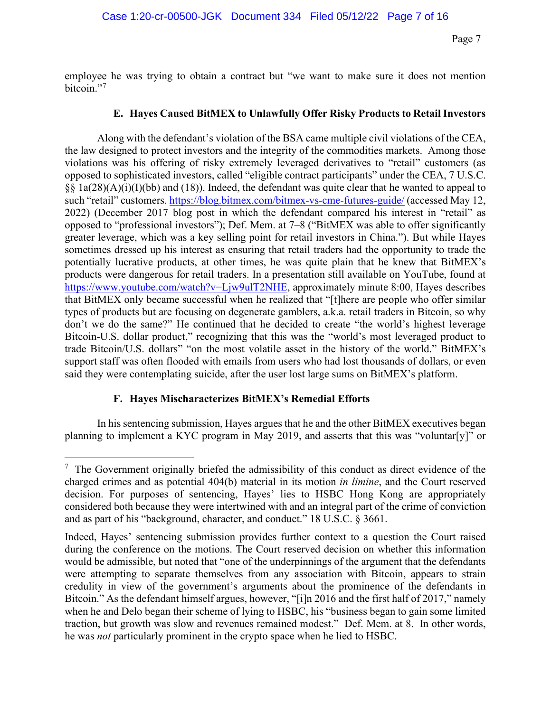employee he was trying to obtain a contract but "we want to make sure it does not mention bitcoin."<sup>[7](#page-6-0)</sup>

# **E. Hayes Caused BitMEX to Unlawfully Offer Risky Products to Retail Investors**

Along with the defendant's violation of the BSA came multiple civil violations of the CEA, the law designed to protect investors and the integrity of the commodities markets. Among those violations was his offering of risky extremely leveraged derivatives to "retail" customers (as opposed to sophisticated investors, called "eligible contract participants" under the CEA, 7 U.S.C. §§  $1a(28)(A)(i)(I)(bb)$  and (18)). Indeed, the defendant was quite clear that he wanted to appeal to such "retail" customers.<https://blog.bitmex.com/bitmex-vs-cme-futures-guide/>(accessed May 12, 2022) (December 2017 blog post in which the defendant compared his interest in "retail" as opposed to "professional investors"); Def. Mem. at 7–8 ("BitMEX was able to offer significantly greater leverage, which was a key selling point for retail investors in China."). But while Hayes sometimes dressed up his interest as ensuring that retail traders had the opportunity to trade the potentially lucrative products, at other times, he was quite plain that he knew that BitMEX's products were dangerous for retail traders. In a presentation still available on YouTube, found at [https://www.youtube.com/watch?v=Ljw9ulT2NHE,](https://www.youtube.com/watch?v=Ljw9ulT2NHE) approximately minute 8:00, Hayes describes that BitMEX only became successful when he realized that "[t]here are people who offer similar types of products but are focusing on degenerate gamblers, a.k.a. retail traders in Bitcoin, so why don't we do the same?" He continued that he decided to create "the world's highest leverage Bitcoin-U.S. dollar product," recognizing that this was the "world's most leveraged product to trade Bitcoin/U.S. dollars" "on the most volatile asset in the history of the world." BitMEX's support staff was often flooded with emails from users who had lost thousands of dollars, or even said they were contemplating suicide, after the user lost large sums on BitMEX's platform.

# **F. Hayes Mischaracterizes BitMEX's Remedial Efforts**

In his sentencing submission, Hayes argues that he and the other BitMEX executives began planning to implement a KYC program in May 2019, and asserts that this was "voluntar[y]" or

<span id="page-6-0"></span> $7$  The Government originally briefed the admissibility of this conduct as direct evidence of the charged crimes and as potential 404(b) material in its motion *in limine*, and the Court reserved decision. For purposes of sentencing, Hayes' lies to HSBC Hong Kong are appropriately considered both because they were intertwined with and an integral part of the crime of conviction and as part of his "background, character, and conduct." 18 U.S.C. § 3661.

Indeed, Hayes' sentencing submission provides further context to a question the Court raised during the conference on the motions. The Court reserved decision on whether this information would be admissible, but noted that "one of the underpinnings of the argument that the defendants were attempting to separate themselves from any association with Bitcoin, appears to strain credulity in view of the government's arguments about the prominence of the defendants in Bitcoin." As the defendant himself argues, however, "[i]n 2016 and the first half of 2017," namely when he and Delo began their scheme of lying to HSBC, his "business began to gain some limited traction, but growth was slow and revenues remained modest." Def. Mem. at 8. In other words, he was *not* particularly prominent in the crypto space when he lied to HSBC.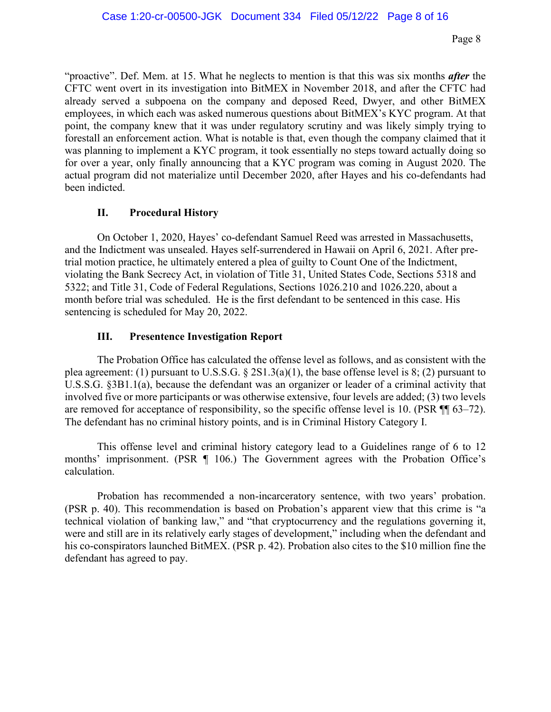"proactive". Def. Mem. at 15. What he neglects to mention is that this was six months *after* the CFTC went overt in its investigation into BitMEX in November 2018, and after the CFTC had already served a subpoena on the company and deposed Reed, Dwyer, and other BitMEX employees, in which each was asked numerous questions about BitMEX's KYC program. At that point, the company knew that it was under regulatory scrutiny and was likely simply trying to forestall an enforcement action. What is notable is that, even though the company claimed that it was planning to implement a KYC program, it took essentially no steps toward actually doing so for over a year, only finally announcing that a KYC program was coming in August 2020. The actual program did not materialize until December 2020, after Hayes and his co-defendants had been indicted.

#### **II. Procedural History**

On October 1, 2020, Hayes' co-defendant Samuel Reed was arrested in Massachusetts, and the Indictment was unsealed. Hayes self-surrendered in Hawaii on April 6, 2021. After pretrial motion practice, he ultimately entered a plea of guilty to Count One of the Indictment, violating the Bank Secrecy Act, in violation of Title 31, United States Code, Sections 5318 and 5322; and Title 31, Code of Federal Regulations, Sections 1026.210 and 1026.220, about a month before trial was scheduled. He is the first defendant to be sentenced in this case. His sentencing is scheduled for May 20, 2022.

# **III. Presentence Investigation Report**

The Probation Office has calculated the offense level as follows, and as consistent with the plea agreement: (1) pursuant to U.S.S.G. § 2S1.3(a)(1), the base offense level is 8; (2) pursuant to U.S.S.G. §3B1.1(a), because the defendant was an organizer or leader of a criminal activity that involved five or more participants or was otherwise extensive, four levels are added; (3) two levels are removed for acceptance of responsibility, so the specific offense level is 10. (PSR ¶¶ 63–72). The defendant has no criminal history points, and is in Criminal History Category I.

This offense level and criminal history category lead to a Guidelines range of 6 to 12 months' imprisonment. (PSR ¶ 106.) The Government agrees with the Probation Office's calculation.

Probation has recommended a non-incarceratory sentence, with two years' probation. (PSR p. 40). This recommendation is based on Probation's apparent view that this crime is "a technical violation of banking law," and "that cryptocurrency and the regulations governing it, were and still are in its relatively early stages of development," including when the defendant and his co-conspirators launched BitMEX. (PSR p. 42). Probation also cites to the \$10 million fine the defendant has agreed to pay.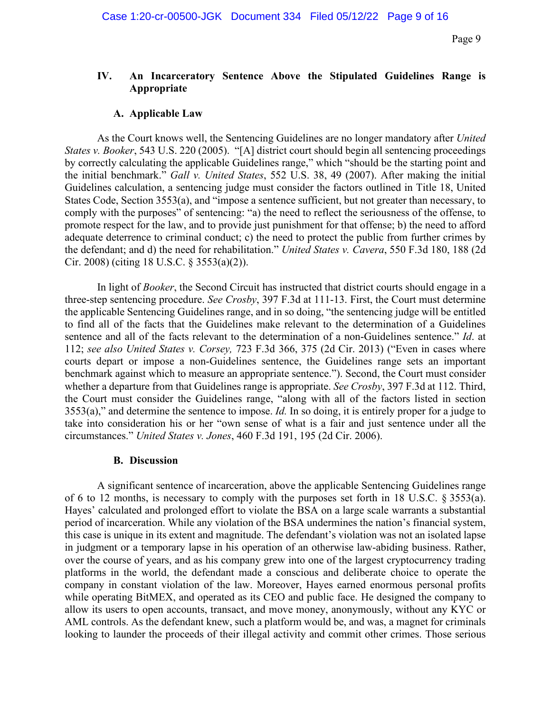# **IV. An Incarceratory Sentence Above the Stipulated Guidelines Range is Appropriate**

#### **A. Applicable Law**

As the Court knows well, the Sentencing Guidelines are no longer mandatory after *United States v. Booker*, 543 U.S. 220 (2005). "[A] district court should begin all sentencing proceedings by correctly calculating the applicable Guidelines range," which "should be the starting point and the initial benchmark." *Gall v. United States*, 552 U.S. 38, 49 (2007). After making the initial Guidelines calculation, a sentencing judge must consider the factors outlined in Title 18, United States Code, Section 3553(a), and "impose a sentence sufficient, but not greater than necessary, to comply with the purposes" of sentencing: "a) the need to reflect the seriousness of the offense, to promote respect for the law, and to provide just punishment for that offense; b) the need to afford adequate deterrence to criminal conduct; c) the need to protect the public from further crimes by the defendant; and d) the need for rehabilitation." *United States v. Cavera*, 550 F.3d 180, 188 (2d Cir. 2008) (citing 18 U.S.C. § 3553(a)(2)).

In light of *Booker*, the Second Circuit has instructed that district courts should engage in a three-step sentencing procedure. *See Crosby*, 397 F.3d at 111-13. First, the Court must determine the applicable Sentencing Guidelines range, and in so doing, "the sentencing judge will be entitled to find all of the facts that the Guidelines make relevant to the determination of a Guidelines sentence and all of the facts relevant to the determination of a non-Guidelines sentence." *Id*. at 112; *see also United States v. Corsey,* 723 F.3d 366, 375 (2d Cir. 2013) ("Even in cases where courts depart or impose a non-Guidelines sentence, the Guidelines range sets an important benchmark against which to measure an appropriate sentence."). Second, the Court must consider whether a departure from that Guidelines range is appropriate. *See Crosby*, 397 F.3d at 112. Third, the Court must consider the Guidelines range, "along with all of the factors listed in section 3553(a)," and determine the sentence to impose. *Id.* In so doing, it is entirely proper for a judge to take into consideration his or her "own sense of what is a fair and just sentence under all the circumstances." *United States v. Jones*, 460 F.3d 191, 195 (2d Cir. 2006).

#### **B. Discussion**

A significant sentence of incarceration, above the applicable Sentencing Guidelines range of 6 to 12 months, is necessary to comply with the purposes set forth in 18 U.S.C. § 3553(a). Hayes' calculated and prolonged effort to violate the BSA on a large scale warrants a substantial period of incarceration. While any violation of the BSA undermines the nation's financial system, this case is unique in its extent and magnitude. The defendant's violation was not an isolated lapse in judgment or a temporary lapse in his operation of an otherwise law-abiding business. Rather, over the course of years, and as his company grew into one of the largest cryptocurrency trading platforms in the world, the defendant made a conscious and deliberate choice to operate the company in constant violation of the law. Moreover, Hayes earned enormous personal profits while operating BitMEX, and operated as its CEO and public face. He designed the company to allow its users to open accounts, transact, and move money, anonymously, without any KYC or AML controls. As the defendant knew, such a platform would be, and was, a magnet for criminals looking to launder the proceeds of their illegal activity and commit other crimes. Those serious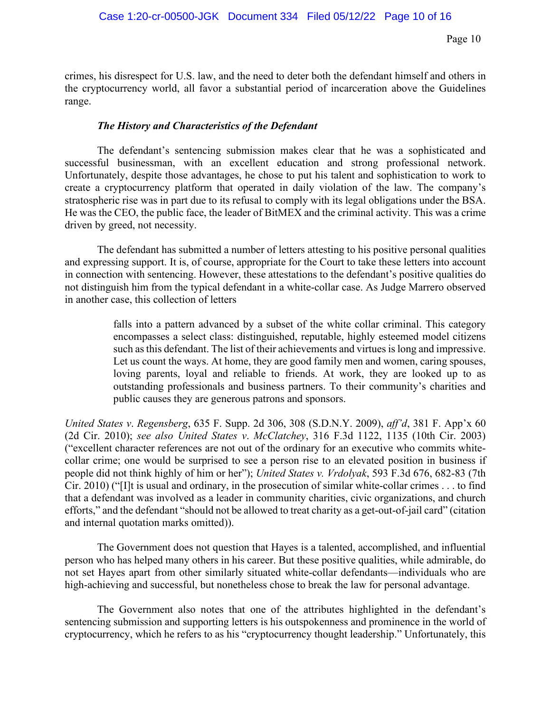crimes, his disrespect for U.S. law, and the need to deter both the defendant himself and others in the cryptocurrency world, all favor a substantial period of incarceration above the Guidelines range.

# *The History and Characteristics of the Defendant*

The defendant's sentencing submission makes clear that he was a sophisticated and successful businessman, with an excellent education and strong professional network. Unfortunately, despite those advantages, he chose to put his talent and sophistication to work to create a cryptocurrency platform that operated in daily violation of the law. The company's stratospheric rise was in part due to its refusal to comply with its legal obligations under the BSA. He was the CEO, the public face, the leader of BitMEX and the criminal activity. This was a crime driven by greed, not necessity.

The defendant has submitted a number of letters attesting to his positive personal qualities and expressing support. It is, of course, appropriate for the Court to take these letters into account in connection with sentencing. However, these attestations to the defendant's positive qualities do not distinguish him from the typical defendant in a white-collar case. As Judge Marrero observed in another case, this collection of letters

> falls into a pattern advanced by a subset of the white collar criminal. This category encompasses a select class: distinguished, reputable, highly esteemed model citizens such as this defendant. The list of their achievements and virtues is long and impressive. Let us count the ways. At home, they are good family men and women, caring spouses, loving parents, loyal and reliable to friends. At work, they are looked up to as outstanding professionals and business partners. To their community's charities and public causes they are generous patrons and sponsors.

*United States v*. *Regensberg*, 635 F. Supp. 2d 306, 308 (S.D.N.Y. 2009), *aff'd*, 381 F. App'x 60 (2d Cir. 2010); *see also United States v*. *McClatchey*, 316 F.3d 1122, 1135 (10th Cir. 2003) ("excellent character references are not out of the ordinary for an executive who commits whitecollar crime; one would be surprised to see a person rise to an elevated position in business if people did not think highly of him or her"); *United States v. Vrdolyak*, 593 F.3d 676, 682-83 (7th Cir. 2010) ("[I]t is usual and ordinary, in the prosecution of similar white-collar crimes . . . to find that a defendant was involved as a leader in community charities, civic organizations, and church efforts," and the defendant "should not be allowed to treat charity as a get-out-of-jail card" (citation and internal quotation marks omitted)).

The Government does not question that Hayes is a talented, accomplished, and influential person who has helped many others in his career. But these positive qualities, while admirable, do not set Hayes apart from other similarly situated white-collar defendants—individuals who are high-achieving and successful, but nonetheless chose to break the law for personal advantage.

The Government also notes that one of the attributes highlighted in the defendant's sentencing submission and supporting letters is his outspokenness and prominence in the world of cryptocurrency, which he refers to as his "cryptocurrency thought leadership." Unfortunately, this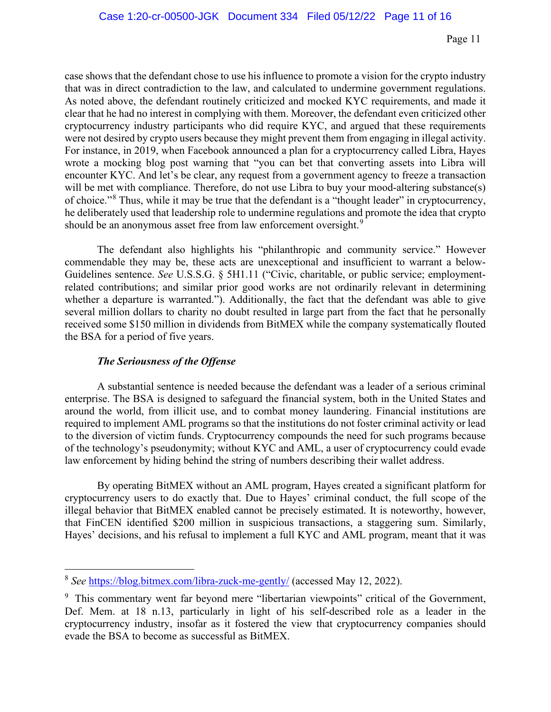case shows that the defendant chose to use his influence to promote a vision for the crypto industry that was in direct contradiction to the law, and calculated to undermine government regulations. As noted above, the defendant routinely criticized and mocked KYC requirements, and made it clear that he had no interest in complying with them. Moreover, the defendant even criticized other cryptocurrency industry participants who did require KYC, and argued that these requirements were not desired by crypto users because they might prevent them from engaging in illegal activity. For instance, in 2019, when Facebook announced a plan for a cryptocurrency called Libra, Hayes wrote a mocking blog post warning that "you can bet that converting assets into Libra will encounter KYC. And let's be clear, any request from a government agency to freeze a transaction will be met with compliance. Therefore, do not use Libra to buy your mood-altering substance(s) of choice."<sup>[8](#page-10-0)</sup> Thus, while it may be true that the defendant is a "thought leader" in cryptocurrency, he deliberately used that leadership role to undermine regulations and promote the idea that crypto should be an anonymous asset free from law enforcement oversight.<sup>[9](#page-10-1)</sup>

 The defendant also highlights his "philanthropic and community service." However commendable they may be, these acts are unexceptional and insufficient to warrant a below-Guidelines sentence. *See* U.S.S.G. § 5H1.11 ("Civic, charitable, or public service; employmentrelated contributions; and similar prior good works are not ordinarily relevant in determining whether a departure is warranted."). Additionally, the fact that the defendant was able to give several million dollars to charity no doubt resulted in large part from the fact that he personally received some \$150 million in dividends from BitMEX while the company systematically flouted the BSA for a period of five years.

# *The Seriousness of the Offense*

A substantial sentence is needed because the defendant was a leader of a serious criminal enterprise. The BSA is designed to safeguard the financial system, both in the United States and around the world, from illicit use, and to combat money laundering. Financial institutions are required to implement AML programs so that the institutions do not foster criminal activity or lead to the diversion of victim funds. Cryptocurrency compounds the need for such programs because of the technology's pseudonymity; without KYC and AML, a user of cryptocurrency could evade law enforcement by hiding behind the string of numbers describing their wallet address.

By operating BitMEX without an AML program, Hayes created a significant platform for cryptocurrency users to do exactly that. Due to Hayes' criminal conduct, the full scope of the illegal behavior that BitMEX enabled cannot be precisely estimated. It is noteworthy, however, that FinCEN identified \$200 million in suspicious transactions, a staggering sum. Similarly, Hayes' decisions, and his refusal to implement a full KYC and AML program, meant that it was

<span id="page-10-0"></span><sup>8</sup> *See* <https://blog.bitmex.com/libra-zuck-me-gently/> (accessed May 12, 2022).

<span id="page-10-1"></span><sup>&</sup>lt;sup>9</sup> This commentary went far beyond mere "libertarian viewpoints" critical of the Government, Def. Mem. at 18 n.13, particularly in light of his self-described role as a leader in the cryptocurrency industry, insofar as it fostered the view that cryptocurrency companies should evade the BSA to become as successful as BitMEX.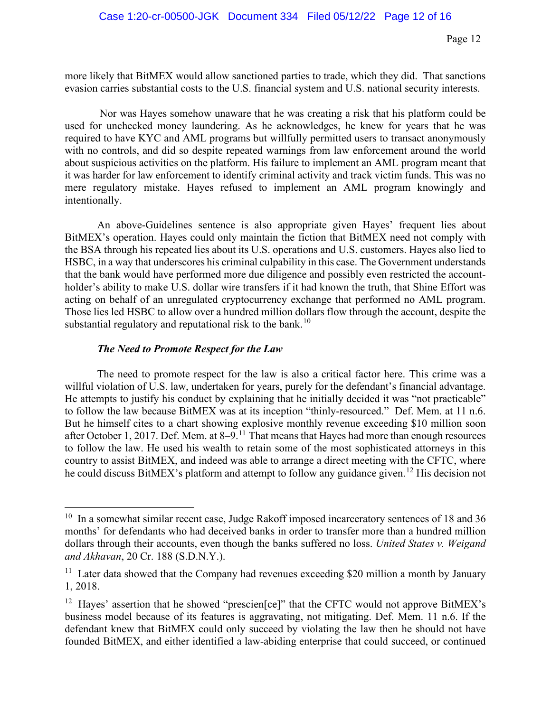more likely that BitMEX would allow sanctioned parties to trade, which they did. That sanctions evasion carries substantial costs to the U.S. financial system and U.S. national security interests.

Nor was Hayes somehow unaware that he was creating a risk that his platform could be used for unchecked money laundering. As he acknowledges, he knew for years that he was required to have KYC and AML programs but willfully permitted users to transact anonymously with no controls, and did so despite repeated warnings from law enforcement around the world about suspicious activities on the platform. His failure to implement an AML program meant that it was harder for law enforcement to identify criminal activity and track victim funds. This was no mere regulatory mistake. Hayes refused to implement an AML program knowingly and intentionally.

An above-Guidelines sentence is also appropriate given Hayes' frequent lies about BitMEX's operation. Hayes could only maintain the fiction that BitMEX need not comply with the BSA through his repeated lies about its U.S. operations and U.S. customers. Hayes also lied to HSBC, in a way that underscores his criminal culpability in this case. The Government understands that the bank would have performed more due diligence and possibly even restricted the accountholder's ability to make U.S. dollar wire transfers if it had known the truth, that Shine Effort was acting on behalf of an unregulated cryptocurrency exchange that performed no AML program. Those lies led HSBC to allow over a hundred million dollars flow through the account, despite the substantial regulatory and reputational risk to the bank.<sup>[10](#page-11-0)</sup>

# *The Need to Promote Respect for the Law*

The need to promote respect for the law is also a critical factor here. This crime was a willful violation of U.S. law, undertaken for years, purely for the defendant's financial advantage. He attempts to justify his conduct by explaining that he initially decided it was "not practicable" to follow the law because BitMEX was at its inception "thinly-resourced." Def. Mem. at 11 n.6. But he himself cites to a chart showing explosive monthly revenue exceeding \$10 million soon after October 1, 2017. Def. Mem. at 8–9.<sup>[11](#page-11-1)</sup> That means that Hayes had more than enough resources to follow the law. He used his wealth to retain some of the most sophisticated attorneys in this country to assist BitMEX, and indeed was able to arrange a direct meeting with the CFTC, where he could discuss BitMEX's platform and attempt to follow any guidance given.<sup>[12](#page-11-2)</sup> His decision not

<span id="page-11-0"></span><sup>&</sup>lt;sup>10</sup> In a somewhat similar recent case, Judge Rakoff imposed incarceratory sentences of 18 and 36 months' for defendants who had deceived banks in order to transfer more than a hundred million dollars through their accounts, even though the banks suffered no loss. *United States v. Weigand and Akhavan*, 20 Cr. 188 (S.D.N.Y.).

<span id="page-11-1"></span><sup>&</sup>lt;sup>11</sup> Later data showed that the Company had revenues exceeding \$20 million a month by January 1, 2018.

<span id="page-11-2"></span><sup>&</sup>lt;sup>12</sup> Hayes' assertion that he showed "prescien[ce]" that the CFTC would not approve BitMEX's business model because of its features is aggravating, not mitigating. Def. Mem. 11 n.6. If the defendant knew that BitMEX could only succeed by violating the law then he should not have founded BitMEX, and either identified a law-abiding enterprise that could succeed, or continued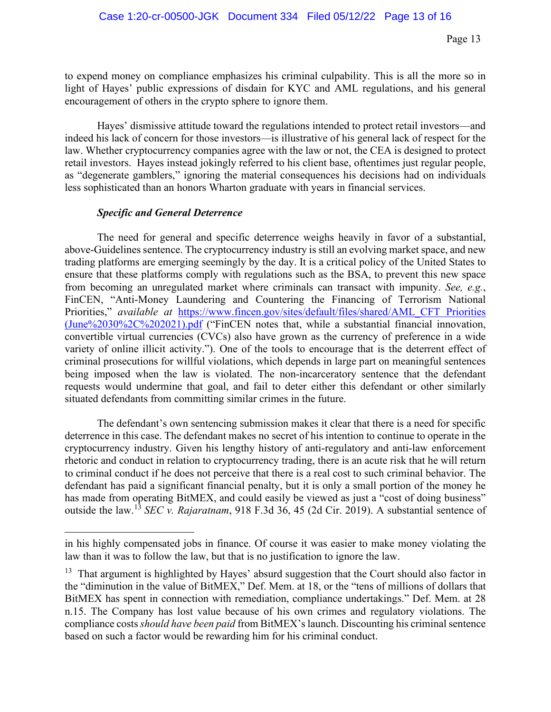to expend money on compliance emphasizes his criminal culpability. This is all the more so in light of Hayes' public expressions of disdain for KYC and AML regulations, and his general encouragement of others in the crypto sphere to ignore them.

Hayes' dismissive attitude toward the regulations intended to protect retail investors—and indeed his lack of concern for those investors—is illustrative of his general lack of respect for the law. Whether cryptocurrency companies agree with the law or not, the CEA is designed to protect retail investors. Hayes instead jokingly referred to his client base, oftentimes just regular people, as "degenerate gamblers," ignoring the material consequences his decisions had on individuals less sophisticated than an honors Wharton graduate with years in financial services.

#### *Specific and General Deterrence*

The need for general and specific deterrence weighs heavily in favor of a substantial, above-Guidelines sentence. The cryptocurrency industry is still an evolving market space, and new trading platforms are emerging seemingly by the day. It is a critical policy of the United States to ensure that these platforms comply with regulations such as the BSA, to prevent this new space from becoming an unregulated market where criminals can transact with impunity. *See, e.g.*, FinCEN, "Anti-Money Laundering and Countering the Financing of Terrorism National Priorities," *available at* [https://www.fincen.gov/sites/default/files/shared/AML\\_CFT Priorities](https://www.fincen.gov/sites/default/files/shared/AML_CFT%20Priorities%20(June%2030%2C%202021).pdf)  [\(June%2030%2C%202021\).pdf](https://www.fincen.gov/sites/default/files/shared/AML_CFT%20Priorities%20(June%2030%2C%202021).pdf) ("FinCEN notes that, while a substantial financial innovation, convertible virtual currencies (CVCs) also have grown as the currency of preference in a wide variety of online illicit activity."). One of the tools to encourage that is the deterrent effect of criminal prosecutions for willful violations, which depends in large part on meaningful sentences being imposed when the law is violated. The non-incarceratory sentence that the defendant requests would undermine that goal, and fail to deter either this defendant or other similarly situated defendants from committing similar crimes in the future.

The defendant's own sentencing submission makes it clear that there is a need for specific deterrence in this case. The defendant makes no secret of his intention to continue to operate in the cryptocurrency industry. Given his lengthy history of anti-regulatory and anti-law enforcement rhetoric and conduct in relation to cryptocurrency trading, there is an acute risk that he will return to criminal conduct if he does not perceive that there is a real cost to such criminal behavior. The defendant has paid a significant financial penalty, but it is only a small portion of the money he has made from operating BitMEX, and could easily be viewed as just a "cost of doing business" outside the law.[13](#page-12-0) *SEC v. Rajaratnam*, 918 F.3d 36, 45 (2d Cir. 2019). A substantial sentence of

in his highly compensated jobs in finance. Of course it was easier to make money violating the law than it was to follow the law, but that is no justification to ignore the law.

<span id="page-12-0"></span><sup>&</sup>lt;sup>13</sup> That argument is highlighted by Hayes' absurd suggestion that the Court should also factor in the "diminution in the value of BitMEX," Def. Mem. at 18, or the "tens of millions of dollars that BitMEX has spent in connection with remediation, compliance undertakings." Def. Mem. at 28 n.15. The Company has lost value because of his own crimes and regulatory violations. The compliance costs *should have been paid* from BitMEX's launch. Discounting his criminal sentence based on such a factor would be rewarding him for his criminal conduct.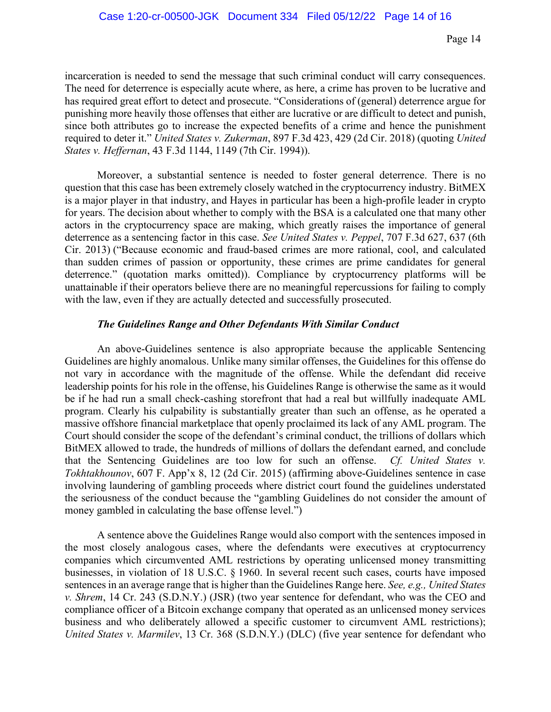incarceration is needed to send the message that such criminal conduct will carry consequences. The need for deterrence is especially acute where, as here, a crime has proven to be lucrative and has required great effort to detect and prosecute. "Considerations of (general) deterrence argue for punishing more heavily those offenses that either are lucrative or are difficult to detect and punish, since both attributes go to increase the expected benefits of a crime and hence the punishment required to deter it." *United States v. Zukerman*, 897 F.3d 423, 429 (2d Cir. 2018) (quoting *United States v. Heffernan*, 43 F.3d 1144, 1149 (7th Cir. 1994)).

Moreover, a substantial sentence is needed to foster general deterrence. There is no question that this case has been extremely closely watched in the cryptocurrency industry. BitMEX is a major player in that industry, and Hayes in particular has been a high-profile leader in crypto for years. The decision about whether to comply with the BSA is a calculated one that many other actors in the cryptocurrency space are making, which greatly raises the importance of general deterrence as a sentencing factor in this case. *See United States v. Peppel*, 707 F.3d 627, 637 (6th Cir. 2013) ("Because economic and fraud-based crimes are more rational, cool, and calculated than sudden crimes of passion or opportunity, these crimes are prime candidates for general deterrence." (quotation marks omitted)). Compliance by cryptocurrency platforms will be unattainable if their operators believe there are no meaningful repercussions for failing to comply with the law, even if they are actually detected and successfully prosecuted.

#### *The Guidelines Range and Other Defendants With Similar Conduct*

An above-Guidelines sentence is also appropriate because the applicable Sentencing Guidelines are highly anomalous. Unlike many similar offenses, the Guidelines for this offense do not vary in accordance with the magnitude of the offense. While the defendant did receive leadership points for his role in the offense, his Guidelines Range is otherwise the same as it would be if he had run a small check-cashing storefront that had a real but willfully inadequate AML program. Clearly his culpability is substantially greater than such an offense, as he operated a massive offshore financial marketplace that openly proclaimed its lack of any AML program. The Court should consider the scope of the defendant's criminal conduct, the trillions of dollars which BitMEX allowed to trade, the hundreds of millions of dollars the defendant earned, and conclude that the Sentencing Guidelines are too low for such an offense. *Cf. United States v. Tokhtakhounov*, 607 F. App'x 8, 12 (2d Cir. 2015) (affirming above-Guidelines sentence in case involving laundering of gambling proceeds where district court found the guidelines understated the seriousness of the conduct because the "gambling Guidelines do not consider the amount of money gambled in calculating the base offense level.")

A sentence above the Guidelines Range would also comport with the sentences imposed in the most closely analogous cases, where the defendants were executives at cryptocurrency companies which circumvented AML restrictions by operating unlicensed money transmitting businesses, in violation of 18 U.S.C. § 1960. In several recent such cases, courts have imposed sentences in an average range that is higher than the Guidelines Range here. *See, e.g., United States v. Shrem*, 14 Cr. 243 (S.D.N.Y.) (JSR) (two year sentence for defendant, who was the CEO and compliance officer of a Bitcoin exchange company that operated as an unlicensed money services business and who deliberately allowed a specific customer to circumvent AML restrictions); *United States v. Marmilev*, 13 Cr. 368 (S.D.N.Y.) (DLC) (five year sentence for defendant who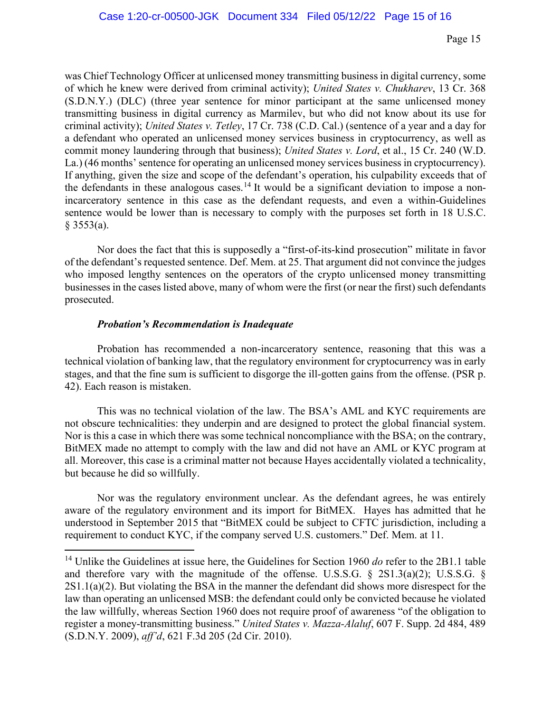was Chief Technology Officer at unlicensed money transmitting business in digital currency, some of which he knew were derived from criminal activity); *United States v. Chukharev*, 13 Cr. 368 (S.D.N.Y.) (DLC) (three year sentence for minor participant at the same unlicensed money transmitting business in digital currency as Marmilev, but who did not know about its use for criminal activity); *United States v. Tetley*, 17 Cr. 738 (C.D. Cal.) (sentence of a year and a day for a defendant who operated an unlicensed money services business in cryptocurrency, as well as commit money laundering through that business); *United States v. Lord*, et al., 15 Cr. 240 (W.D. La.) (46 months' sentence for operating an unlicensed money services business in cryptocurrency). If anything, given the size and scope of the defendant's operation, his culpability exceeds that of the defendants in these analogous cases.<sup>[14](#page-14-0)</sup> It would be a significant deviation to impose a nonincarceratory sentence in this case as the defendant requests, and even a within-Guidelines sentence would be lower than is necessary to comply with the purposes set forth in 18 U.S.C.  $§$  3553(a).

Nor does the fact that this is supposedly a "first-of-its-kind prosecution" militate in favor of the defendant's requested sentence. Def. Mem. at 25. That argument did not convince the judges who imposed lengthy sentences on the operators of the crypto unlicensed money transmitting businesses in the cases listed above, many of whom were the first (or near the first) such defendants prosecuted.

#### *Probation's Recommendation is Inadequate*

Probation has recommended a non-incarceratory sentence, reasoning that this was a technical violation of banking law, that the regulatory environment for cryptocurrency was in early stages, and that the fine sum is sufficient to disgorge the ill-gotten gains from the offense. (PSR p. 42). Each reason is mistaken.

This was no technical violation of the law. The BSA's AML and KYC requirements are not obscure technicalities: they underpin and are designed to protect the global financial system. Nor is this a case in which there was some technical noncompliance with the BSA; on the contrary, BitMEX made no attempt to comply with the law and did not have an AML or KYC program at all. Moreover, this case is a criminal matter not because Hayes accidentally violated a technicality, but because he did so willfully.

Nor was the regulatory environment unclear. As the defendant agrees, he was entirely aware of the regulatory environment and its import for BitMEX. Hayes has admitted that he understood in September 2015 that "BitMEX could be subject to CFTC jurisdiction, including a requirement to conduct KYC, if the company served U.S. customers." Def. Mem. at 11.

<span id="page-14-0"></span><sup>14</sup> Unlike the Guidelines at issue here, the Guidelines for Section 1960 *do* refer to the 2B1.1 table and therefore vary with the magnitude of the offense. U.S.S.G. § 2S1.3(a)(2); U.S.S.G. §  $2S1.1(a)(2)$ . But violating the BSA in the manner the defendant did shows more disrespect for the law than operating an unlicensed MSB: the defendant could only be convicted because he violated the law willfully, whereas Section 1960 does not require proof of awareness "of the obligation to register a money-transmitting business." *United States v. Mazza-Alaluf*, 607 F. Supp. 2d 484, 489 (S.D.N.Y. 2009), *aff'd*, 621 F.3d 205 (2d Cir. 2010).